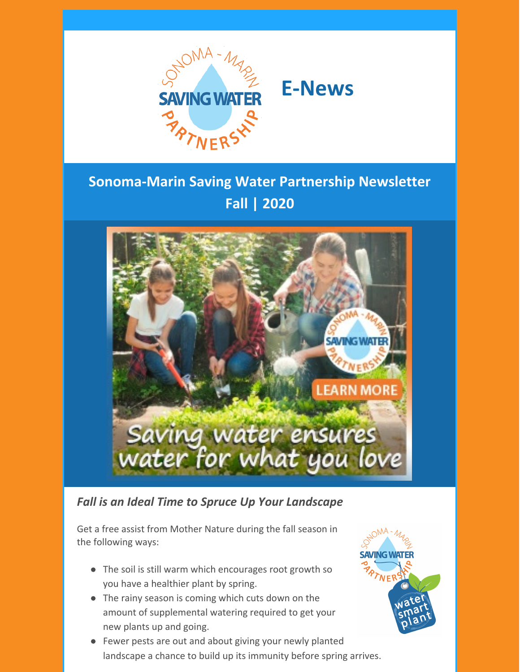



# **Sonoma-Marin Saving Water Partnership Newsletter Fall | 2020**



### *Fall is an Ideal Time to Spruce Up Your Landscape*

Get a free assist from Mother Nature during the fall season in the following ways:

- The soil is still warm which encourages root growth so you have a healthier plant by spring.
- The rainy season is coming which cuts down on the amount of supplemental watering required to get your new plants up and going.
- Fewer pests are out and about giving your newly planted landscape a chance to build up its immunity before spring arrives.

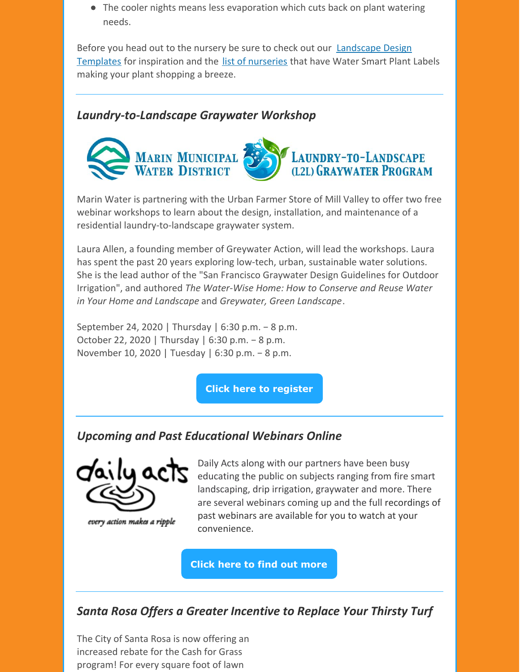• The cooler nights means less evaporation which cuts back on plant watering needs.

Before you head out to the nursery be sure to check out our [Landscape](http://www.savingwaterpartnership.org/concept-plans-and-design-templates/) Design Templates for inspiration and the list of [nurseries](http://www.savingwaterpartnership.org/water-smart-plant/) that have Water Smart Plant Labels making your plant shopping a breeze.

### *Laundry-to-Landscape Graywater Workshop*



Marin Water is partnering with the Urban Farmer Store of Mill Valley to offer two free webinar workshops to learn about the design, installation, and maintenance of a residential laundry-to-landscape graywater system.

Laura Allen, a founding member of Greywater Action, will lead the workshops. Laura has spent the past 20 years exploring low-tech, urban, sustainable water solutions. She is the lead author of the "San Francisco Graywater Design Guidelines for Outdoor Irrigation", and authored *The Water-Wise Home: How to Conserve and Reuse Water in Your Home and Landscape* and *Greywater, Green Landscape*.

September 24, 2020 | Thursday | 6:30 p.m. − 8 p.m. October 22, 2020 | Thursday | 6:30 p.m. − 8 p.m. November 10, 2020 | Tuesday | 6:30 p.m. − 8 p.m.

**Click here to [register](https://www.urbanfarmerstore.com/mmwd-l2l-webinars/)**

# *Upcoming and Past Educational Webinars Online*



every action makes a ripple

Daily Acts along with our partners have been busy educating the public on subjects ranging from fire smart landscaping, drip irrigation, graywater and more. There are several webinars coming up and the full recordings of past webinars are available for you to watch at your convenience.

**Click here to find out [more](https://dailyacts.org/upcoming-events/)**

# *Santa Rosa Offers a Greater Incentive to Replace Your Thirsty Turf*

The City of Santa Rosa is now offering an increased rebate for the Cash for Grass program! For every square foot of lawn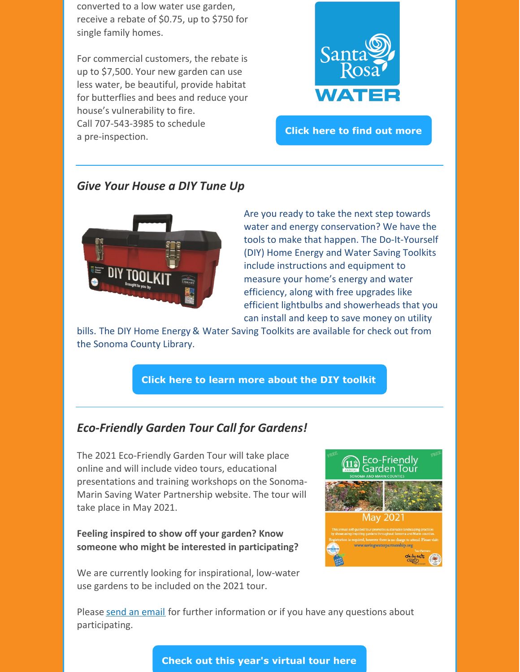converted to a low water use garden, receive a rebate of \$0.75, up to \$750 for single family homes.

For commercial customers, the rebate is up to \$7,500. Your new garden can use less water, be beautiful, provide habitat for butterflies and bees and reduce your house's vulnerability to fire. Call 707-543-3985 to schedule a pre-inspection.



**Click here to find out [more](http://www.srcity.org/rebates)**

### *Give Your House a DIY Tune Up*



Are you ready to take the next step towards water and energy conservation? We have the tools to make that happen. The Do-It-Yourself (DIY) Home Energy and Water Saving Toolkits include instructions and equipment to measure your home's energy and water efficiency, along with free upgrades like efficient lightbulbs and showerheads that you can install and keep to save money on utility

bills. The DIY Home Energy & Water Saving Toolkits are available for check out from the Sonoma County Library.

#### **Click here to learn more about the DIY [toolkit](http://www.savingwaterpartnership.org/DIY-toolkit/)**

### *Eco-Friendly Garden Tour Call for Gardens!*

The 2021 Eco-Friendly Garden Tour will take place online and will include video tours, educational presentations and training workshops on the Sonoma-Marin Saving Water Partnership website. The tour will take place in May 2021.

#### **Feeling inspired to show off your garden? Know someone who might be interested in participating?**

We are currently looking for inspirational, low-water use gardens to be included on the 2021 tour.



Please send an [email](mailto:chad.singleton@scwa.ca.gov) for further information or if you have any questions about participating.

**Check out this year's [virtual](http://www.savingwaterpartnership.org/eco-friendly-garden-tour/) tour here**